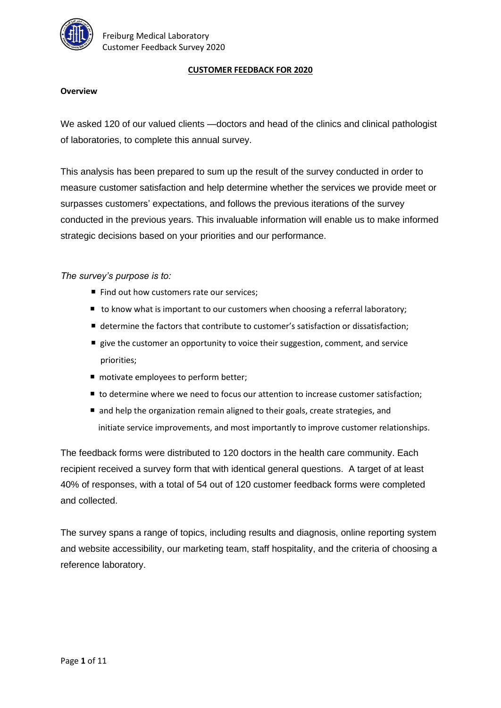

#### **CUSTOMER FEEDBACK FOR 2020**

#### **Overview**

We asked 120 of our valued clients - doctors and head of the clinics and clinical pathologist of laboratories, to complete this annual survey.

This analysis has been prepared to sum up the result of the survey conducted in order to measure customer satisfaction and help determine whether the services we provide meet or surpasses customers' expectations, and follows the previous iterations of the survey conducted in the previous years. This invaluable information will enable us to make informed strategic decisions based on your priorities and our performance.

*The survey's purpose is to:*

- Find out how customers rate our services;
- to know what is important to our customers when choosing a referral laboratory;
- determine the factors that contribute to customer's satisfaction or dissatisfaction;
- $\blacksquare$  give the customer an opportunity to voice their suggestion, comment, and service priorities;
- motivate employees to perform better;
- to determine where we need to focus our attention to increase customer satisfaction;
- and help the organization remain aligned to their goals, create strategies, and initiate service improvements, and most importantly to improve customer relationships.

The feedback forms were distributed to 120 doctors in the health care community. Each recipient received a survey form that with identical general questions. A target of at least 40% of responses, with a total of 54 out of 120 customer feedback forms were completed and collected.

The survey spans a range of topics, including results and diagnosis, online reporting system and website accessibility, our marketing team, staff hospitality, and the criteria of choosing a reference laboratory.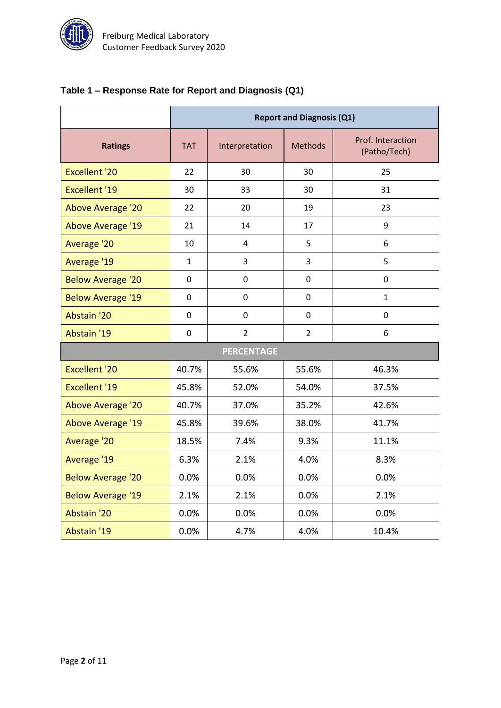

# **Table 1 – Response Rate for Report and Diagnosis (Q1)**

|                          | <b>Report and Diagnosis (Q1)</b> |                                  |                |                                   |  |  |  |
|--------------------------|----------------------------------|----------------------------------|----------------|-----------------------------------|--|--|--|
| <b>Ratings</b>           | <b>TAT</b>                       | <b>Methods</b><br>Interpretation |                | Prof. Interaction<br>(Patho/Tech) |  |  |  |
| <b>Excellent '20</b>     | 22                               | 30                               | 30             | 25                                |  |  |  |
| <b>Excellent '19</b>     | 30                               | 33                               | 30             | 31                                |  |  |  |
| <b>Above Average '20</b> | 22                               | 20                               | 19             | 23                                |  |  |  |
| <b>Above Average '19</b> | 21                               | 14                               | 17             | 9                                 |  |  |  |
| Average '20              | 10                               | 4                                | 5              | 6                                 |  |  |  |
| Average '19              | $\mathbf{1}$                     | 3                                | 3              | 5                                 |  |  |  |
| <b>Below Average '20</b> | $\mathbf 0$                      | $\mathbf 0$                      | $\mathbf 0$    | $\boldsymbol{0}$                  |  |  |  |
| <b>Below Average '19</b> | 0                                | 0                                | 0              | $\mathbf{1}$                      |  |  |  |
| Abstain '20              | 0                                | 0                                | 0              | 0                                 |  |  |  |
| Abstain '19              | $\mathbf 0$                      | $\overline{2}$                   | $\overline{2}$ | 6                                 |  |  |  |
|                          | <b>PERCENTAGE</b>                |                                  |                |                                   |  |  |  |
| <b>Excellent '20</b>     | 40.7%                            | 55.6%                            | 55.6%          | 46.3%                             |  |  |  |
| <b>Excellent '19</b>     | 45.8%                            | 52.0%                            | 54.0%          | 37.5%                             |  |  |  |
| <b>Above Average '20</b> | 40.7%                            | 37.0%                            | 35.2%          | 42.6%                             |  |  |  |
| <b>Above Average '19</b> | 45.8%                            | 39.6%                            | 38.0%          | 41.7%                             |  |  |  |
| Average '20              | 18.5%                            | 7.4%                             | 9.3%           | 11.1%                             |  |  |  |
| Average '19              | 6.3%                             | 2.1%                             | 4.0%           | 8.3%                              |  |  |  |
| <b>Below Average '20</b> | 0.0%                             | 0.0%                             | 0.0%           | 0.0%                              |  |  |  |
| <b>Below Average '19</b> | 2.1%                             | 2.1%                             | 0.0%           | 2.1%                              |  |  |  |
| Abstain '20              | 0.0%                             | 0.0%                             | 0.0%           | 0.0%                              |  |  |  |
| Abstain '19              | 0.0%                             | 4.7%                             | 4.0%           | 10.4%                             |  |  |  |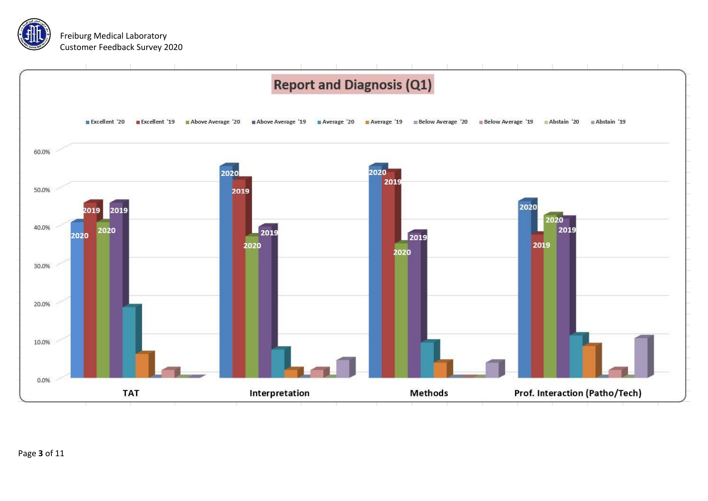

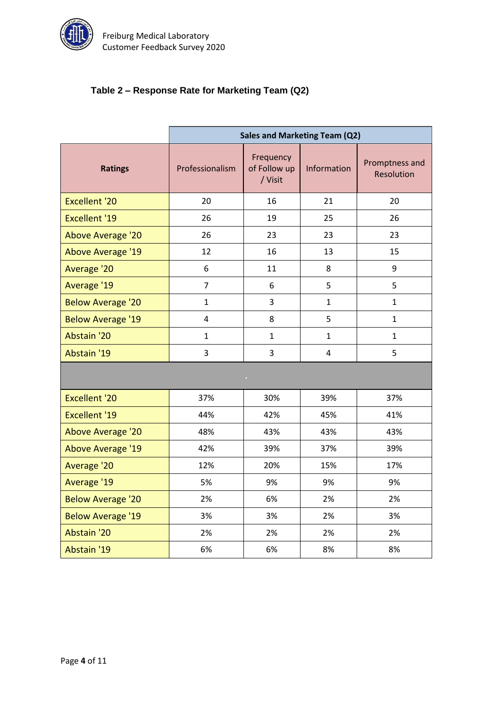

# **Table 2 – Response Rate for Marketing Team (Q2)**

|                          | Sales and Marketing Team (Q2) |                                      |              |                              |  |  |
|--------------------------|-------------------------------|--------------------------------------|--------------|------------------------------|--|--|
| <b>Ratings</b>           | Professionalism               | Frequency<br>of Follow up<br>/ Visit | Information  | Promptness and<br>Resolution |  |  |
| <b>Excellent '20</b>     | 20                            | 16                                   | 21           | 20                           |  |  |
| <b>Excellent '19</b>     | 26                            | 19                                   | 25           | 26                           |  |  |
| <b>Above Average '20</b> | 26                            | 23                                   | 23           | 23                           |  |  |
| Above Average '19        | 12                            | 16                                   | 13           | 15                           |  |  |
| Average '20              | 6                             | 11                                   | 8            | 9                            |  |  |
| Average '19              | $\overline{7}$                | 6                                    | 5            | 5                            |  |  |
| <b>Below Average '20</b> | $\mathbf{1}$                  | 3                                    | $\mathbf{1}$ | $\mathbf{1}$                 |  |  |
| <b>Below Average '19</b> | 4                             | 8                                    | 5            | $\mathbf{1}$                 |  |  |
| Abstain '20              | $\mathbf{1}$                  | $\mathbf{1}$                         | $\mathbf{1}$ | $\mathbf{1}$                 |  |  |
| Abstain '19              | 3                             | 3                                    | 4            | 5                            |  |  |
|                          |                               | o.                                   |              |                              |  |  |
| <b>Excellent '20</b>     | 37%                           | 30%                                  | 39%          | 37%                          |  |  |
| <b>Excellent '19</b>     | 44%                           | 42%                                  | 45%          | 41%                          |  |  |
| <b>Above Average '20</b> | 48%                           | 43%                                  | 43%          | 43%                          |  |  |
| <b>Above Average '19</b> | 42%                           | 39%                                  | 37%          | 39%                          |  |  |
| Average '20              | 12%                           | 20%                                  | 15%          | 17%                          |  |  |
| Average '19              | 5%                            | 9%                                   | 9%           | 9%                           |  |  |
| <b>Below Average '20</b> | 2%                            | 6%                                   | 2%           | 2%                           |  |  |
| <b>Below Average '19</b> | 3%                            | 3%                                   | 2%           | 3%                           |  |  |
| Abstain '20              | 2%                            | 2%                                   | 2%           | 2%                           |  |  |
| Abstain '19              | 6%                            | 6%                                   | 8%           | 8%                           |  |  |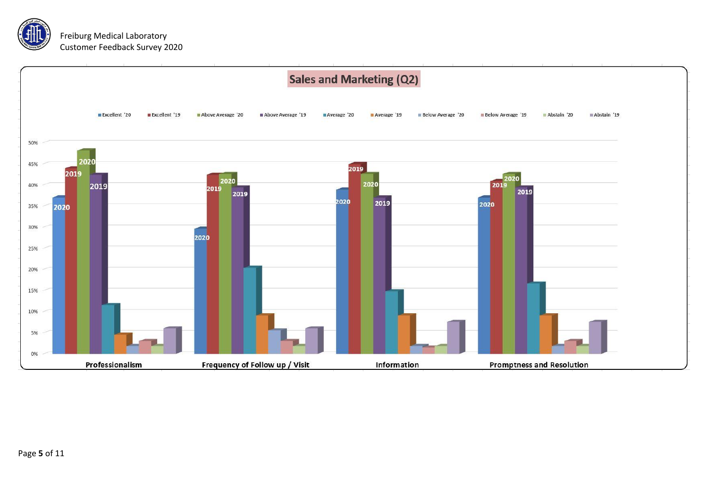

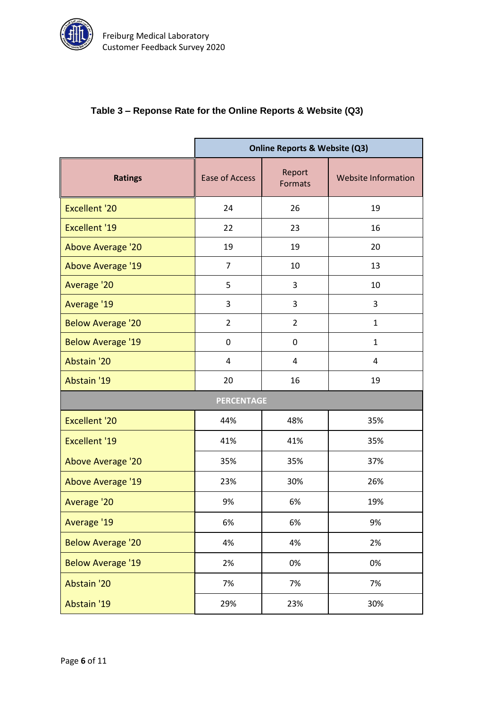

#### **Table 3 – Reponse Rate for the Online Reports & Website (Q3)**

|                          | <b>Online Reports &amp; Website (Q3)</b> |                          |                            |  |  |  |
|--------------------------|------------------------------------------|--------------------------|----------------------------|--|--|--|
| <b>Ratings</b>           | Ease of Access                           | Report<br><b>Formats</b> | <b>Website Information</b> |  |  |  |
| <b>Excellent '20</b>     | 24                                       | 26                       | 19                         |  |  |  |
| <b>Excellent '19</b>     | 22                                       | 23                       | 16                         |  |  |  |
| <b>Above Average '20</b> | 19                                       | 19                       | 20                         |  |  |  |
| <b>Above Average '19</b> | $\overline{7}$                           | 10                       | 13                         |  |  |  |
| Average '20              | 5                                        | 3                        | 10                         |  |  |  |
| Average '19              | 3                                        | 3                        | 3                          |  |  |  |
| <b>Below Average '20</b> | $\overline{2}$                           | $\overline{2}$           | $\mathbf{1}$               |  |  |  |
| <b>Below Average '19</b> | 0                                        | $\mathbf 0$              | 1                          |  |  |  |
| Abstain '20              | 4                                        | 4                        | 4                          |  |  |  |
| Abstain '19              | 20                                       | 16                       | 19                         |  |  |  |
| <b>PERCENTAGE</b>        |                                          |                          |                            |  |  |  |
| <b>Excellent '20</b>     | 44%                                      | 48%                      | 35%                        |  |  |  |
| <b>Excellent '19</b>     | 41%                                      | 41%                      | 35%                        |  |  |  |
| <b>Above Average '20</b> | 35%                                      | 35%                      | 37%                        |  |  |  |
| Above Average '19        | 23%                                      | 30%                      | 26%                        |  |  |  |
| Average '20              | 9%                                       | 6%                       | 19%                        |  |  |  |
| Average '19              | 6%                                       | 6%                       | 9%                         |  |  |  |
| <b>Below Average '20</b> | 4%                                       | 4%                       | 2%                         |  |  |  |
| <b>Below Average '19</b> | 2%                                       | 0%                       | 0%                         |  |  |  |
| Abstain '20              | 7%                                       | 7%                       | 7%                         |  |  |  |
| Abstain '19              | 29%                                      | 23%                      | 30%                        |  |  |  |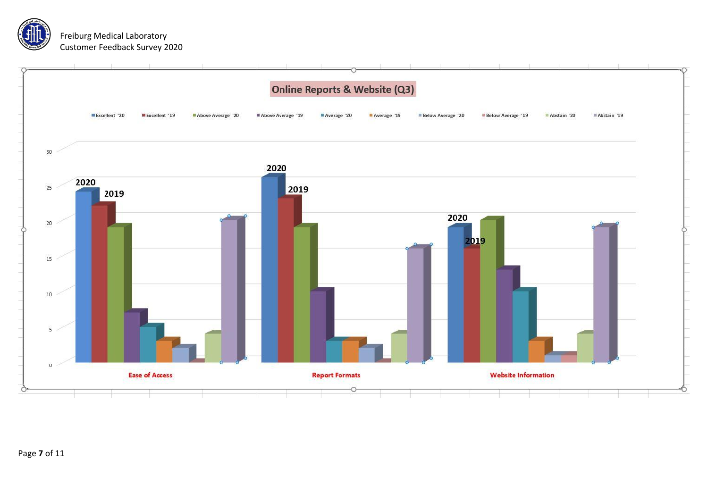



Page **7** of 11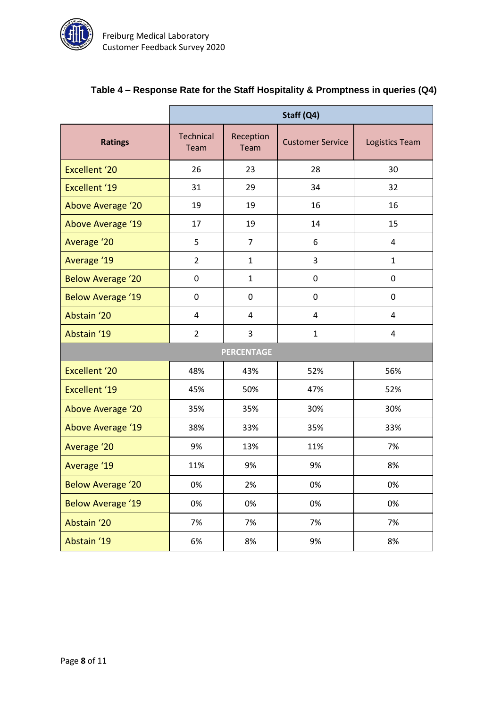

|                          | Staff (Q4)               |                   |                         |                |  |  |  |
|--------------------------|--------------------------|-------------------|-------------------------|----------------|--|--|--|
| <b>Ratings</b>           | <b>Technical</b><br>Team | Reception<br>Team | <b>Customer Service</b> | Logistics Team |  |  |  |
| <b>Excellent '20</b>     | 26                       | 23                | 28                      | 30             |  |  |  |
| <b>Excellent '19</b>     | 31                       | 29                | 34                      | 32             |  |  |  |
| <b>Above Average '20</b> | 19                       | 19                | 16                      | 16             |  |  |  |
| Above Average '19        | 17                       | 19                | 14                      | 15             |  |  |  |
| Average '20              | 5                        | $\overline{7}$    | 6                       | 4              |  |  |  |
| Average '19              | $\overline{2}$           | $\mathbf{1}$      | 3                       | $\mathbf{1}$   |  |  |  |
| <b>Below Average '20</b> | 0                        | $\mathbf{1}$      | $\mathbf 0$             | 0              |  |  |  |
| <b>Below Average '19</b> | 0                        | $\pmb{0}$         | $\pmb{0}$               | $\pmb{0}$      |  |  |  |
| Abstain '20              | $\overline{4}$           | 4                 | $\overline{4}$          | 4              |  |  |  |
| Abstain '19              | $\overline{2}$           | 3                 | $\mathbf{1}$            | 4              |  |  |  |
| <b>PERCENTAGE</b>        |                          |                   |                         |                |  |  |  |
| <b>Excellent '20</b>     | 48%                      | 43%               | 52%                     | 56%            |  |  |  |
| <b>Excellent '19</b>     | 45%                      | 50%               | 47%                     | 52%            |  |  |  |
| Above Average '20        | 35%                      | 35%               | 30%                     | 30%            |  |  |  |
| Above Average '19        | 38%                      | 33%               | 35%                     | 33%            |  |  |  |
| Average '20              | 9%                       | 13%               | 11%                     | 7%             |  |  |  |
| Average '19              | 11%                      | 9%                | 9%                      | 8%             |  |  |  |
| <b>Below Average '20</b> | 0%                       | 2%                | 0%                      | 0%             |  |  |  |
| <b>Below Average '19</b> | 0%                       | 0%                | 0%                      | 0%             |  |  |  |
| Abstain '20              | 7%                       | 7%                | 7%                      | 7%             |  |  |  |
| Abstain '19              | 6%                       | 8%                | 9%                      | 8%             |  |  |  |

# **Table 4 – Response Rate for the Staff Hospitality & Promptness in queries (Q4)**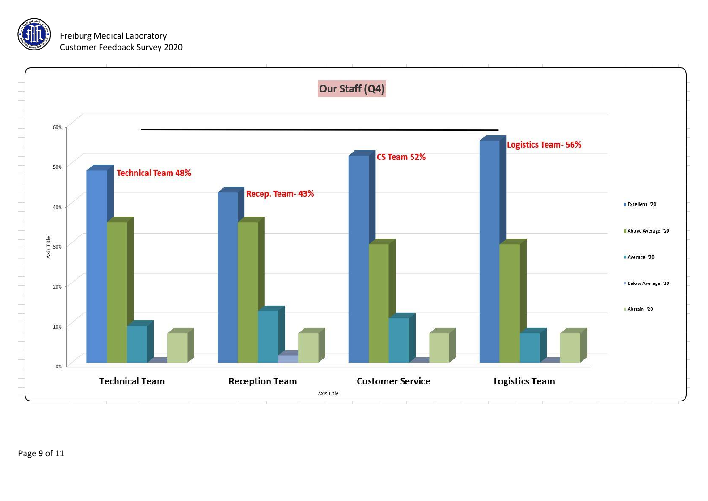

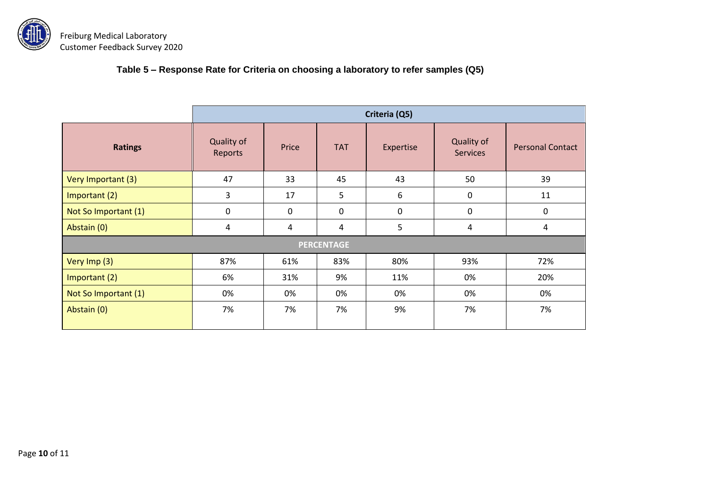

**Table 5 – Response Rate for Criteria on choosing a laboratory to refer samples (Q5)**

|                      | Criteria (Q5)         |       |            |           |                               |                         |  |
|----------------------|-----------------------|-------|------------|-----------|-------------------------------|-------------------------|--|
| <b>Ratings</b>       | Quality of<br>Reports | Price | <b>TAT</b> | Expertise | Quality of<br><b>Services</b> | <b>Personal Contact</b> |  |
| Very Important (3)   | 47                    | 33    | 45         | 43        | 50                            | 39                      |  |
| Important (2)        | 3                     | 17    | 5          | 6         | 0                             | 11                      |  |
| Not So Important (1) | 0                     | 0     | 0          | 0         | 0                             | 0                       |  |
| Abstain (0)          | 4                     | 4     | 4          | 5         | 4                             | 4                       |  |
| <b>PERCENTAGE</b>    |                       |       |            |           |                               |                         |  |
| Very Imp (3)         | 87%                   | 61%   | 83%        | 80%       | 93%                           | 72%                     |  |
| Important (2)        | 6%                    | 31%   | 9%         | 11%       | 0%                            | 20%                     |  |
| Not So Important (1) | 0%                    | 0%    | 0%         | 0%        | 0%                            | 0%                      |  |
| Abstain (0)          | 7%                    | 7%    | 7%         | 9%        | 7%                            | 7%                      |  |